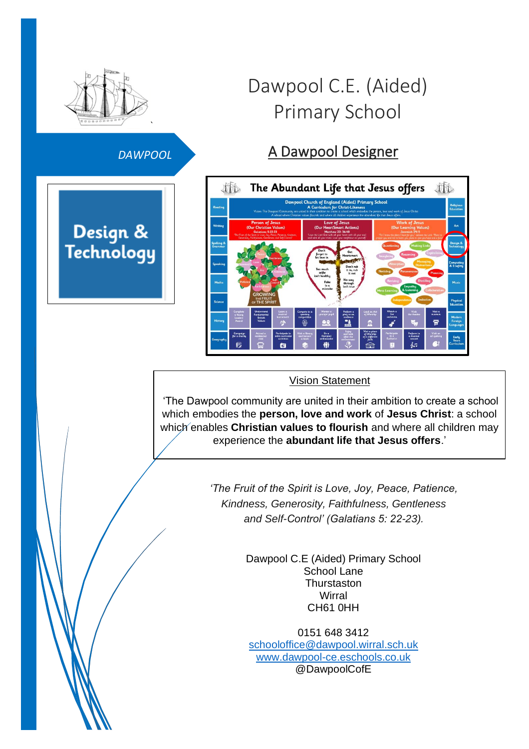

#### *DAWPOOL*

Design & Technology

# Dawpool C.E. (Aided) Primary School

## A Dawpool Designer



#### Vision Statement

'The Dawpool community are united in their ambition to create a school which embodies the **person, love and work** of **Jesus Christ**: a school which enables **Christian values to flourish** and where all children may experience the **abundant life that Jesus offers**.'

> *'The Fruit of the Spirit is Love, Joy, Peace, Patience, Kindness, Generosity, Faithfulness, Gentleness and Self-Control' (Galatians 5: 22-23).*

> > Dawpool C.E (Aided) Primary School School Lane **Thurstaston Wirral** CH61 0HH

0151 648 3412 [schooloffice@dawpool.wirral.sch.uk](mailto:schooloffice@dawpool.wirral.sch.uk) [www.dawpool-ce.eschools.co.uk](http://www.dawpool-ce.eschools.co.uk/) @DawpoolCofE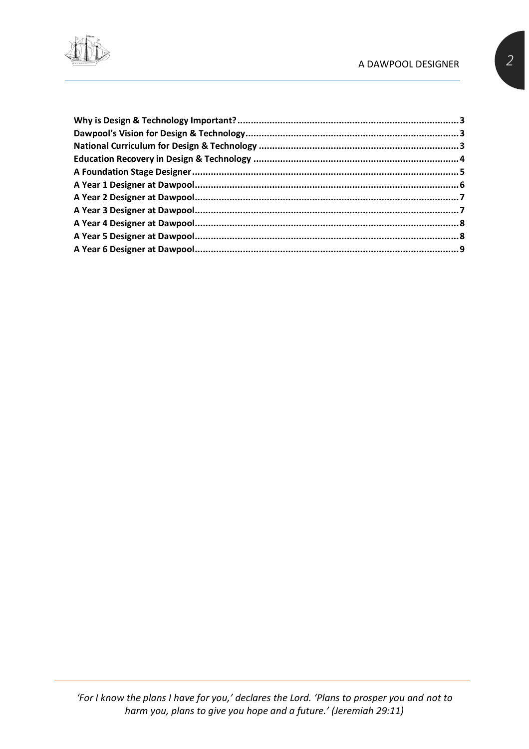#### A DAWPOOL DESIGNER

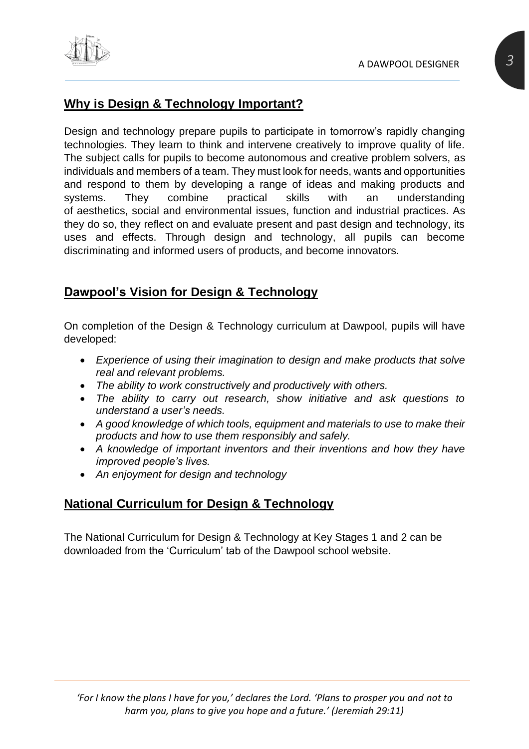

#### <span id="page-2-0"></span>**Why is Design & Technology Important?**

Design and technology prepare pupils to participate in tomorrow's rapidly changing technologies. They learn to think and intervene creatively to improve quality of life. The subject calls for pupils to become autonomous and creative problem solvers, as individuals and members of a team. They must look for needs, wants and opportunities and respond to them by developing a range of ideas and making products and systems. They combine practical skills with an understanding of aesthetics, social and environmental issues, function and industrial practices. As they do so, they reflect on and evaluate present and past design and technology, its uses and effects. Through design and technology, all pupils can become discriminating and informed users of products, and become innovators.

#### <span id="page-2-1"></span>**Dawpool's Vision for Design & Technology**

On completion of the Design & Technology curriculum at Dawpool, pupils will have developed:

- *Experience of using their imagination to design and make products that solve real and relevant problems.*
- *The ability to work constructively and productively with others.*
- *The ability to carry out research, show initiative and ask questions to understand a user's needs.*
- *A good knowledge of which tools, equipment and materials to use to make their products and how to use them responsibly and safely.*
- *A knowledge of important inventors and their inventions and how they have improved people's lives.*
- *An enjoyment for design and technology*

#### <span id="page-2-2"></span>**National Curriculum for Design & Technology**

The National Curriculum for Design & Technology at Key Stages 1 and 2 can be downloaded from the 'Curriculum' tab of the Dawpool school website.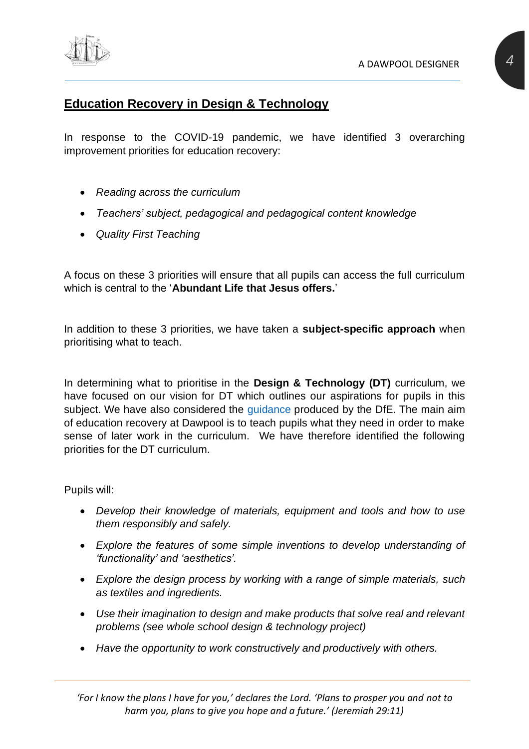

#### <span id="page-3-0"></span>**Education Recovery in Design & Technology**

In response to the COVID-19 pandemic, we have identified 3 overarching improvement priorities for education recovery:

- *Reading across the curriculum*
- *Teachers' subject, pedagogical and pedagogical content knowledge*
- *Quality First Teaching*

A focus on these 3 priorities will ensure that all pupils can access the full curriculum which is central to the '**Abundant Life that Jesus offers.**'

In addition to these 3 priorities, we have taken a **subject-specific approach** when prioritising what to teach.

In determining what to prioritise in the **Design & Technology (DT)** curriculum, we have focused on our vision for DT which outlines our aspirations for pupils in this subject. We have also considered the quidance produced by the DfE. The main aim of education recovery at Dawpool is to teach pupils what they need in order to make sense of later work in the curriculum. We have therefore identified the following priorities for the DT curriculum.

Pupils will:

- *Develop their knowledge of materials, equipment and tools and how to use them responsibly and safely.*
- *Explore the features of some simple inventions to develop understanding of 'functionality' and 'aesthetics'.*
- *Explore the design process by working with a range of simple materials, such as textiles and ingredients.*
- *Use their imagination to design and make products that solve real and relevant problems (see whole school design & technology project)*
- *Have the opportunity to work constructively and productively with others.*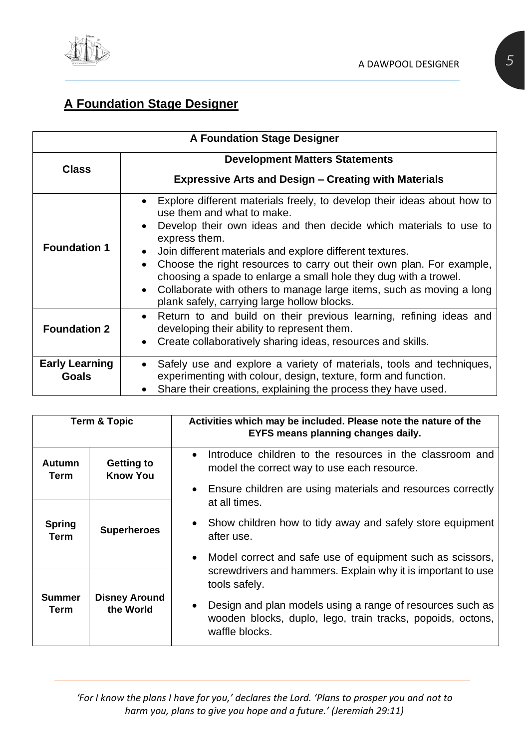

## <span id="page-4-0"></span>**A Foundation Stage Designer**

| <b>A Foundation Stage Designer</b> |                                                                                                                                                                                                                                                                                                                                                                                                                                                                                                                                         |  |  |
|------------------------------------|-----------------------------------------------------------------------------------------------------------------------------------------------------------------------------------------------------------------------------------------------------------------------------------------------------------------------------------------------------------------------------------------------------------------------------------------------------------------------------------------------------------------------------------------|--|--|
| <b>Class</b>                       | <b>Development Matters Statements</b>                                                                                                                                                                                                                                                                                                                                                                                                                                                                                                   |  |  |
|                                    | <b>Expressive Arts and Design – Creating with Materials</b>                                                                                                                                                                                                                                                                                                                                                                                                                                                                             |  |  |
| <b>Foundation 1</b>                | Explore different materials freely, to develop their ideas about how to<br>use them and what to make.<br>Develop their own ideas and then decide which materials to use to<br>express them.<br>Join different materials and explore different textures.<br>Choose the right resources to carry out their own plan. For example,<br>choosing a spade to enlarge a small hole they dug with a trowel.<br>Collaborate with others to manage large items, such as moving a long<br>$\bullet$<br>plank safely, carrying large hollow blocks. |  |  |
| <b>Foundation 2</b>                | Return to and build on their previous learning, refining ideas and<br>developing their ability to represent them.<br>Create collaboratively sharing ideas, resources and skills.                                                                                                                                                                                                                                                                                                                                                        |  |  |
| <b>Early Learning</b><br>Goals     | Safely use and explore a variety of materials, tools and techniques,<br>experimenting with colour, design, texture, form and function.<br>Share their creations, explaining the process they have used.                                                                                                                                                                                                                                                                                                                                 |  |  |

|                                                            | <b>Term &amp; Topic</b> | Activities which may be included. Please note the nature of the<br>EYFS means planning changes daily.                                      |  |
|------------------------------------------------------------|-------------------------|--------------------------------------------------------------------------------------------------------------------------------------------|--|
| Autumn<br><b>Getting to</b><br><b>Know You</b><br>Term     |                         | Introduce children to the resources in the classroom and<br>model the correct way to use each resource.                                    |  |
|                                                            |                         | Ensure children are using materials and resources correctly<br>at all times.                                                               |  |
| <b>Spring</b><br>Term                                      | <b>Superheroes</b>      | Show children how to tidy away and safely store equipment<br>after use.                                                                    |  |
|                                                            |                         | Model correct and safe use of equipment such as scissors,<br>screwdrivers and hammers. Explain why it is important to use<br>tools safely. |  |
| <b>Disney Around</b><br><b>Summer</b><br>the World<br>Term |                         | Design and plan models using a range of resources such as<br>wooden blocks, duplo, lego, train tracks, popoids, octons,<br>waffle blocks.  |  |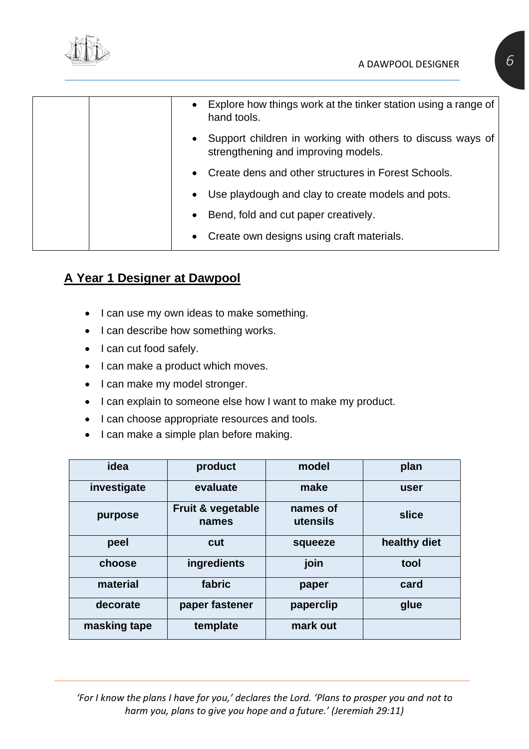

| • Explore how things work at the tinker station using a range of<br>hand tools.                   |
|---------------------------------------------------------------------------------------------------|
| Support children in working with others to discuss ways of<br>strengthening and improving models. |
| Create dens and other structures in Forest Schools.                                               |
| Use playdough and clay to create models and pots.<br>$\bullet$                                    |
| Bend, fold and cut paper creatively.<br>$\bullet$                                                 |
| • Create own designs using craft materials.                                                       |

## <span id="page-5-0"></span>**A Year 1 Designer at Dawpool**

- I can use my own ideas to make something.
- I can describe how something works.
- I can cut food safely.
- I can make a product which moves.
- I can make my model stronger.
- I can explain to someone else how I want to make my product.
- I can choose appropriate resources and tools.
- I can make a simple plan before making.

| idea         | product                    | model                | plan         |
|--------------|----------------------------|----------------------|--------------|
| investigate  | evaluate                   | make                 | user         |
| purpose      | Fruit & vegetable<br>names | names of<br>utensils | slice        |
| peel         | cut                        | squeeze              | healthy diet |
| choose       | ingredients                | join                 | tool         |
| material     | fabric                     | paper                | card         |
| decorate     | paper fastener             | paperclip            | glue         |
| masking tape | template                   | mark out             |              |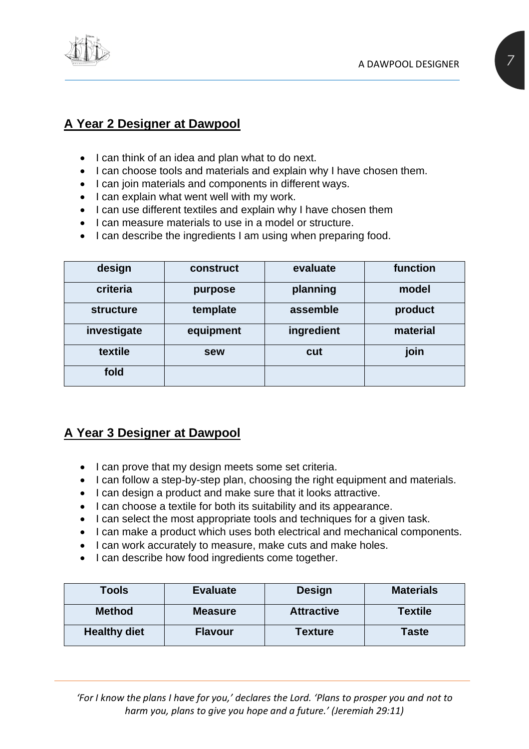

#### <span id="page-6-0"></span>**A Year 2 Designer at Dawpool**

- I can think of an idea and plan what to do next.
- I can choose tools and materials and explain why I have chosen them.
- I can join materials and components in different ways.
- I can explain what went well with my work.
- I can use different textiles and explain why I have chosen them
- I can measure materials to use in a model or structure.
- I can describe the ingredients I am using when preparing food.

| design           | construct | evaluate   | function |
|------------------|-----------|------------|----------|
| criteria         | purpose   | planning   | model    |
| <b>structure</b> | template  | assemble   | product  |
| investigate      | equipment | ingredient | material |
| textile          | sew       | cut        | join     |
| fold             |           |            |          |

#### <span id="page-6-1"></span>**A Year 3 Designer at Dawpool**

- I can prove that my design meets some set criteria.
- I can follow a step-by-step plan, choosing the right equipment and materials.
- I can design a product and make sure that it looks attractive.
- I can choose a textile for both its suitability and its appearance.
- I can select the most appropriate tools and techniques for a given task.
- I can make a product which uses both electrical and mechanical components.
- I can work accurately to measure, make cuts and make holes.
- I can describe how food ingredients come together.

| Tools               | <b>Evaluate</b> | <b>Design</b>     | <b>Materials</b> |
|---------------------|-----------------|-------------------|------------------|
| <b>Method</b>       | <b>Measure</b>  | <b>Attractive</b> | <b>Textile</b>   |
| <b>Healthy diet</b> | <b>Flavour</b>  | <b>Texture</b>    | <b>Taste</b>     |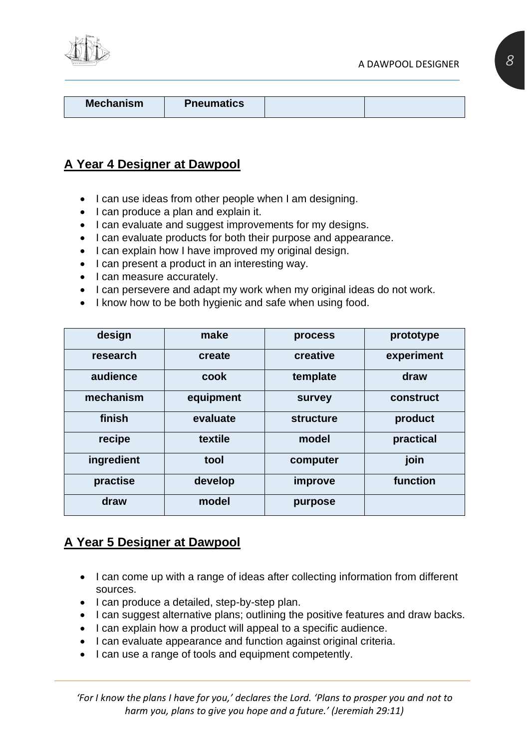

**Mechanism Pneumatics** 

#### <span id="page-7-0"></span>**A Year 4 Designer at Dawpool**

- I can use ideas from other people when I am designing.
- I can produce a plan and explain it.
- I can evaluate and suggest improvements for my designs.
- I can evaluate products for both their purpose and appearance.
- I can explain how I have improved my original design.
- I can present a product in an interesting way.
- I can measure accurately.
- I can persevere and adapt my work when my original ideas do not work.
- I know how to be both hygienic and safe when using food.

| design     | make      | process          | prototype  |
|------------|-----------|------------------|------------|
| research   | create    | creative         | experiment |
| audience   | cook      | template         | draw       |
| mechanism  | equipment | survey           | construct  |
| finish     | evaluate  | <b>structure</b> | product    |
| recipe     | textile   | model            | practical  |
| ingredient | tool      | computer         | join       |
| practise   | develop   | improve          | function   |
| draw       | model     | purpose          |            |

#### <span id="page-7-1"></span>**A Year 5 Designer at Dawpool**

- I can come up with a range of ideas after collecting information from different sources.
- I can produce a detailed, step-by-step plan.
- I can suggest alternative plans; outlining the positive features and draw backs.
- I can explain how a product will appeal to a specific audience.
- I can evaluate appearance and function against original criteria.
- I can use a range of tools and equipment competently.